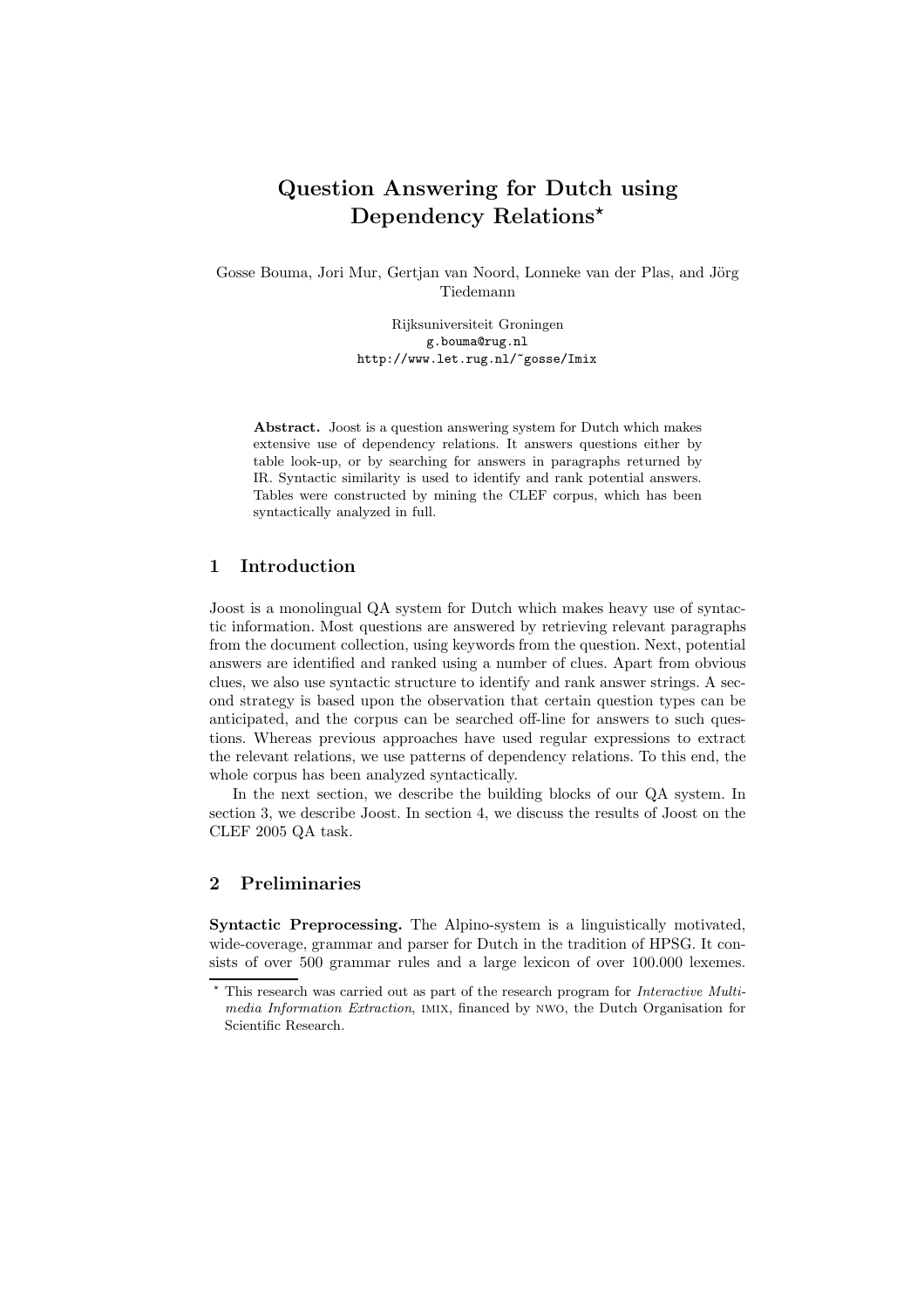# Question Answering for Dutch using Dependency Relations?

Gosse Bouma, Jori Mur, Gertjan van Noord, Lonneke van der Plas, and Jörg Tiedemann

> Rijksuniversiteit Groningen g.bouma@rug.nl http://www.let.rug.nl/~gosse/Imix

Abstract. Joost is a question answering system for Dutch which makes extensive use of dependency relations. It answers questions either by table look-up, or by searching for answers in paragraphs returned by IR. Syntactic similarity is used to identify and rank potential answers. Tables were constructed by mining the CLEF corpus, which has been syntactically analyzed in full.

### 1 Introduction

Joost is a monolingual QA system for Dutch which makes heavy use of syntactic information. Most questions are answered by retrieving relevant paragraphs from the document collection, using keywords from the question. Next, potential answers are identified and ranked using a number of clues. Apart from obvious clues, we also use syntactic structure to identify and rank answer strings. A second strategy is based upon the observation that certain question types can be anticipated, and the corpus can be searched off-line for answers to such questions. Whereas previous approaches have used regular expressions to extract the relevant relations, we use patterns of dependency relations. To this end, the whole corpus has been analyzed syntactically.

In the next section, we describe the building blocks of our QA system. In section 3, we describe Joost. In section 4, we discuss the results of Joost on the CLEF 2005 QA task.

# 2 Preliminaries

Syntactic Preprocessing. The Alpino-system is a linguistically motivated, wide-coverage, grammar and parser for Dutch in the tradition of HPSG. It consists of over 500 grammar rules and a large lexicon of over 100.000 lexemes.

<sup>?</sup> This research was carried out as part of the research program for Interactive Multimedia Information Extraction, imix, financed by nwo, the Dutch Organisation for Scientific Research.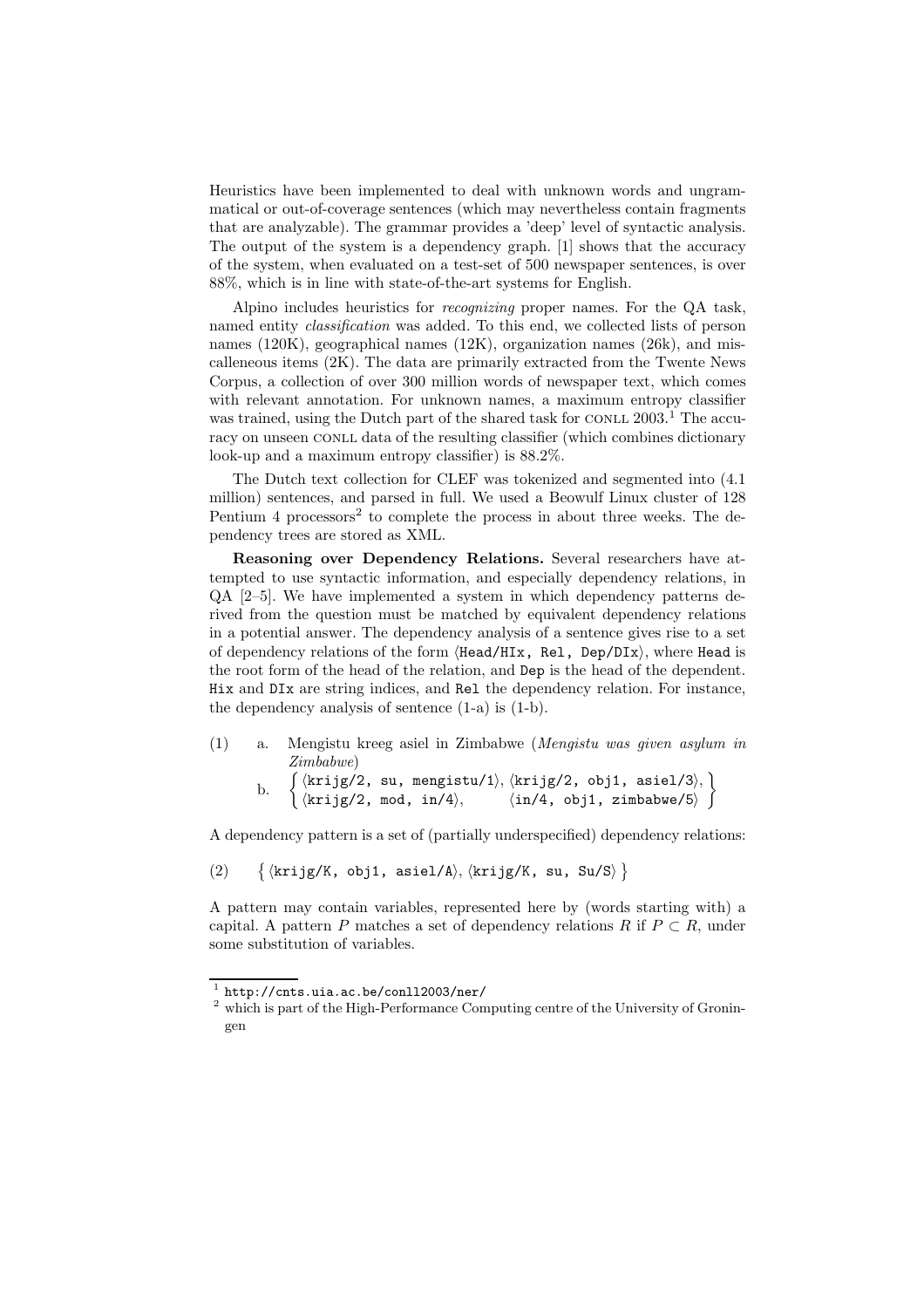Heuristics have been implemented to deal with unknown words and ungrammatical or out-of-coverage sentences (which may nevertheless contain fragments that are analyzable). The grammar provides a 'deep' level of syntactic analysis. The output of the system is a dependency graph. [1] shows that the accuracy of the system, when evaluated on a test-set of 500 newspaper sentences, is over 88%, which is in line with state-of-the-art systems for English.

Alpino includes heuristics for recognizing proper names. For the QA task, named entity classification was added. To this end, we collected lists of person names  $(120K)$ , geographical names  $(12K)$ , organization names  $(26k)$ , and miscalleneous items (2K). The data are primarily extracted from the Twente News Corpus, a collection of over 300 million words of newspaper text, which comes with relevant annotation. For unknown names, a maximum entropy classifier was trained, using the Dutch part of the shared task for CONLL  $2003$ .<sup>1</sup> The accuracy on unseen CONLL data of the resulting classifier (which combines dictionary look-up and a maximum entropy classifier) is 88.2%.

The Dutch text collection for CLEF was tokenized and segmented into (4.1 million) sentences, and parsed in full. We used a Beowulf Linux cluster of 128 Pentium  $4 \text{ processors}^2$  to complete the process in about three weeks. The dependency trees are stored as XML.

Reasoning over Dependency Relations. Several researchers have attempted to use syntactic information, and especially dependency relations, in QA [2–5]. We have implemented a system in which dependency patterns derived from the question must be matched by equivalent dependency relations in a potential answer. The dependency analysis of a sentence gives rise to a set of dependency relations of the form  $\langle$ Head/HIx, Rel, Dep/DIx $\rangle$ , where Head is the root form of the head of the relation, and Dep is the head of the dependent. Hix and DIx are string indices, and Rel the dependency relation. For instance, the dependency analysis of sentence (1-a) is (1-b).

- (1) a. Mengistu kreeg asiel in Zimbabwe (Mengistu was given asylum in Zimbabwe)
	- b.  $\begin{cases} \langle k \text{rig}/2, \text{ su}, \text{ mengistu}/1 \rangle, \langle k \text{rig}/2, \text{ obj1, asie1/3} \rangle, \\ \langle k \text{rig}/2, \text{ maj} \rangle, \langle k \text{rig}/4, \text{ obj1, asie1/5} \rangle. \end{cases}$  $\langle krijg/2, mod, in/4\rangle,$   $\langle in/4, obj1, zimbabwe/5\rangle$  $\mathcal{L}$

A dependency pattern is a set of (partially underspecified) dependency relations:

(2)  $\langle \text{kriig/K, obj1, asiel/A} \rangle$ ,  $\langle \text{kriig/K, su, Su/S} \rangle$ 

A pattern may contain variables, represented here by (words starting with) a capital. A pattern P matches a set of dependency relations R if  $P \subset R$ , under some substitution of variables.

 $1$  http://cnts.uia.ac.be/conll2003/ner/

<sup>2</sup> which is part of the High-Performance Computing centre of the University of Groningen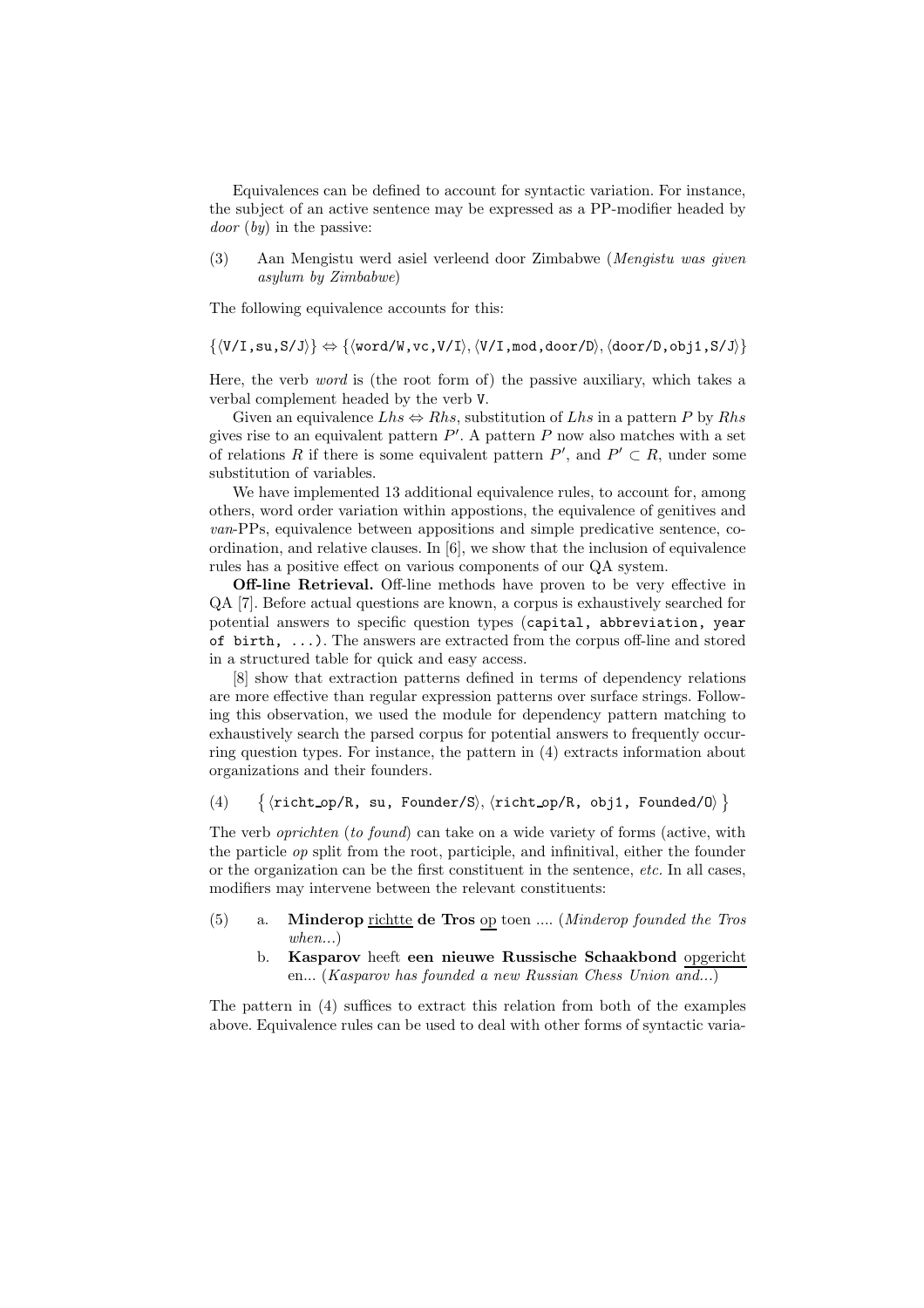Equivalences can be defined to account for syntactic variation. For instance, the subject of an active sentence may be expressed as a PP-modifier headed by  $door (by)$  in the passive:

(3) Aan Mengistu werd asiel verleend door Zimbabwe (Mengistu was given asylum by Zimbabwe)

The following equivalence accounts for this:

 $\{\langle V/I,su,S/J\rangle\} \Leftrightarrow \{\langle word/W,vc,V/I\rangle, \langle V/I,mod,door/D\rangle, \langle door/D,obj1,S/J\rangle\}$ 

Here, the verb word is (the root form of) the passive auxiliary, which takes a verbal complement headed by the verb V.

Given an equivalence  $Lhs \Leftrightarrow Rhs$ , substitution of  $Lhs$  in a pattern P by  $Rhs$ gives rise to an equivalent pattern  $P'$ . A pattern P now also matches with a set of relations R if there is some equivalent pattern  $P'$ , and  $P' \subset R$ , under some substitution of variables.

We have implemented 13 additional equivalence rules, to account for, among others, word order variation within appostions, the equivalence of genitives and van-PPs, equivalence between appositions and simple predicative sentence, coordination, and relative clauses. In  $[6]$ , we show that the inclusion of equivalence rules has a positive effect on various components of our QA system.

Off-line Retrieval. Off-line methods have proven to be very effective in QA [7]. Before actual questions are known, a corpus is exhaustively searched for potential answers to specific question types (capital, abbreviation, year of birth, ...). The answers are extracted from the corpus off-line and stored in a structured table for quick and easy access.

[8] show that extraction patterns defined in terms of dependency relations are more effective than regular expression patterns over surface strings. Following this observation, we used the module for dependency pattern matching to exhaustively search the parsed corpus for potential answers to frequently occurring question types. For instance, the pattern in (4) extracts information about organizations and their founders.

#### (4)  $\langle \text{richt\_op/R}, \text{su}, \text{Founder/S} \rangle, \langle \text{richt\_op/R}, \text{obj1}, \text{Founded/O} \rangle$

The verb *oprichten* (to found) can take on a wide variety of forms (active, with the particle op split from the root, participle, and infinitival, either the founder or the organization can be the first constituent in the sentence, etc. In all cases, modifiers may intervene between the relevant constituents:

- (5) a. Minderop richtte de Tros op toen .... (Minderop founded the Tros  $when...$ )
	- b. Kasparov heeft een nieuwe Russische Schaakbond opgericht en... (Kasparov has founded a new Russian Chess Union and...)

The pattern in (4) suffices to extract this relation from both of the examples above. Equivalence rules can be used to deal with other forms of syntactic varia-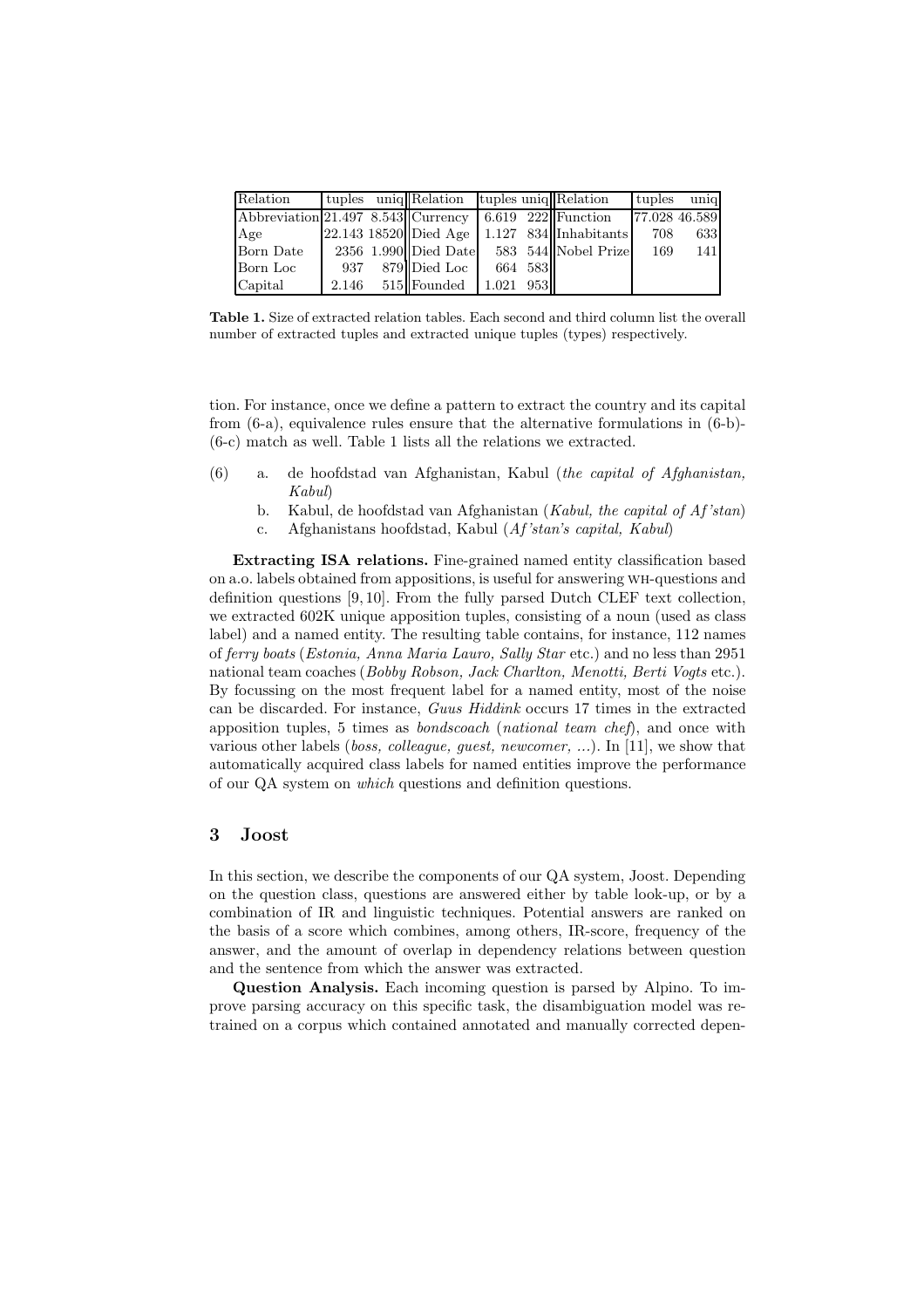| Relation  |       | tuples uniq Relation tuples uniq Relation |           |         |                                                     | tuples uniq   |            |
|-----------|-------|-------------------------------------------|-----------|---------|-----------------------------------------------------|---------------|------------|
|           |       |                                           |           |         |                                                     | 77.028 46.589 |            |
| Age       |       |                                           |           |         | $ 22.143 \t18520 $ Died Age   1.127 834 Inhabitants | 708           | 6331       |
| Born Date |       |                                           |           |         | 2356 1.990 Died Date 583 544 Nobel Prize            | 169           | <b>141</b> |
| Born Loc  |       | 937 879 Died Loc                          |           | 664 583 |                                                     |               |            |
| Capital   | 2.146 | 515 Founded                               | 1.021 953 |         |                                                     |               |            |

Table 1. Size of extracted relation tables. Each second and third column list the overall number of extracted tuples and extracted unique tuples (types) respectively.

tion. For instance, once we define a pattern to extract the country and its capital from  $(6-a)$ , equivalence rules ensure that the alternative formulations in  $(6-b)$ -(6-c) match as well. Table 1 lists all the relations we extracted.

- (6) a. de hoofdstad van Afghanistan, Kabul (the capital of Afghanistan, Kabul)
	- b. Kabul, de hoofdstad van Afghanistan (Kabul, the capital of Af'stan)
	- c. Afghanistans hoofdstad, Kabul (Af'stan's capital, Kabul)

Extracting ISA relations. Fine-grained named entity classification based on a.o. labels obtained from appositions, is useful for answering wh-questions and definition questions [9, 10]. From the fully parsed Dutch CLEF text collection, we extracted 602K unique apposition tuples, consisting of a noun (used as class label) and a named entity. The resulting table contains, for instance, 112 names of ferry boats (Estonia, Anna Maria Lauro, Sally Star etc.) and no less than 2951 national team coaches (Bobby Robson, Jack Charlton, Menotti, Berti Vogts etc.). By focussing on the most frequent label for a named entity, most of the noise can be discarded. For instance, Guus Hiddink occurs 17 times in the extracted apposition tuples, 5 times as bondscoach (national team chef), and once with various other labels (boss, colleague, guest, newcomer, ...). In [11], we show that automatically acquired class labels for named entities improve the performance of our QA system on which questions and definition questions.

## 3 Joost

In this section, we describe the components of our QA system, Joost. Depending on the question class, questions are answered either by table look-up, or by a combination of IR and linguistic techniques. Potential answers are ranked on the basis of a score which combines, among others, IR-score, frequency of the answer, and the amount of overlap in dependency relations between question and the sentence from which the answer was extracted.

Question Analysis. Each incoming question is parsed by Alpino. To improve parsing accuracy on this specific task, the disambiguation model was retrained on a corpus which contained annotated and manually corrected depen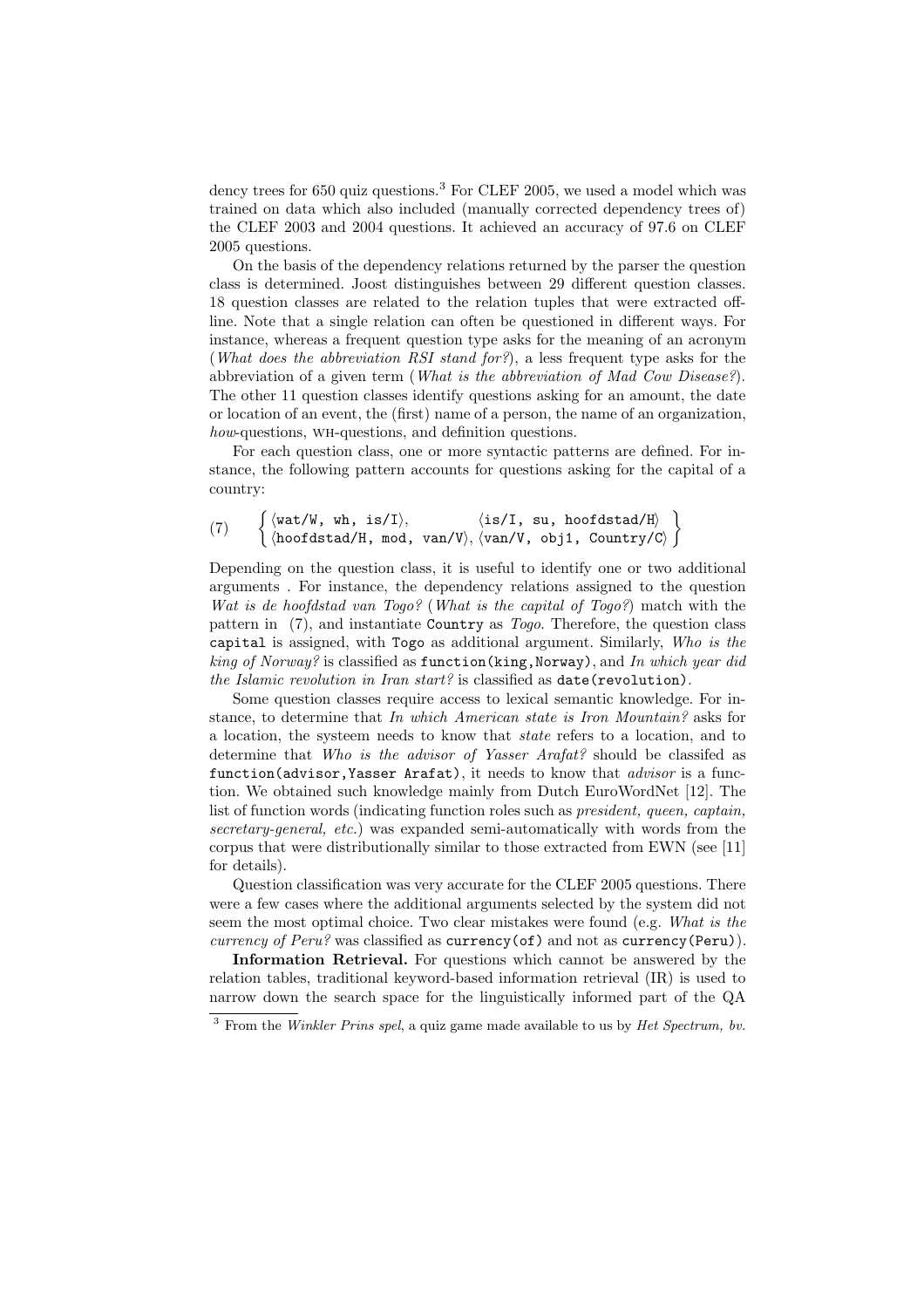dency trees for 650 quiz questions.<sup>3</sup> For CLEF 2005, we used a model which was trained on data which also included (manually corrected dependency trees of) the CLEF 2003 and 2004 questions. It achieved an accuracy of 97.6 on CLEF 2005 questions.

On the basis of the dependency relations returned by the parser the question class is determined. Joost distinguishes between 29 different question classes. 18 question classes are related to the relation tuples that were extracted offline. Note that a single relation can often be questioned in different ways. For instance, whereas a frequent question type asks for the meaning of an acronym (What does the abbreviation RSI stand for?), a less frequent type asks for the abbreviation of a given term (*What is the abbreviation of Mad Cow Disease?*). The other 11 question classes identify questions asking for an amount, the date or location of an event, the (first) name of a person, the name of an organization, how-questions, wh-questions, and definition questions.

For each question class, one or more syntactic patterns are defined. For instance, the following pattern accounts for questions asking for the capital of a country:

$$
(7) \quad \left\{ \begin{matrix} \langle \mathtt{vat}/\mathtt{W}, \mathtt{wh}, \mathtt{is}/\mathtt{I} \rangle, & \langle \mathtt{is}/\mathtt{I}, \mathtt{su}, \mathtt{hoofdstad}/\mathtt{H} \rangle \\ \langle \mathtt{hoofdstad}/\mathtt{H}, \mathtt{mod}, \mathtt{van}/\mathtt{V} \rangle, \langle \mathtt{van}/\mathtt{V}, \mathtt{obj1}, \mathtt{Country}/\mathtt{C} \rangle \end{matrix} \right\}
$$

Depending on the question class, it is useful to identify one or two additional arguments . For instance, the dependency relations assigned to the question Wat is de hoofdstad van Togo? (What is the capital of Togo?) match with the pattern in (7), and instantiate Country as Togo. Therefore, the question class capital is assigned, with Togo as additional argument. Similarly, Who is the king of Norway? is classified as function(king, Norway), and In which year did the Islamic revolution in Iran start? is classified as date(revolution).

Some question classes require access to lexical semantic knowledge. For instance, to determine that In which American state is Iron Mountain? asks for a location, the systeem needs to know that state refers to a location, and to determine that Who is the advisor of Yasser Arafat? should be classifed as function(advisor, Yasser Arafat), it needs to know that *advisor* is a function. We obtained such knowledge mainly from Dutch EuroWordNet [12]. The list of function words (indicating function roles such as president, queen, captain, secretary-general, etc.) was expanded semi-automatically with words from the corpus that were distributionally similar to those extracted from EWN (see [11] for details).

Question classification was very accurate for the CLEF 2005 questions. There were a few cases where the additional arguments selected by the system did not seem the most optimal choice. Two clear mistakes were found (e.g. What is the currency of Peru? was classified as currency(of) and not as currency(Peru)).

Information Retrieval. For questions which cannot be answered by the relation tables, traditional keyword-based information retrieval (IR) is used to narrow down the search space for the linguistically informed part of the QA

 $3$  From the Winkler Prins spel, a quiz game made available to us by Het Spectrum, bv.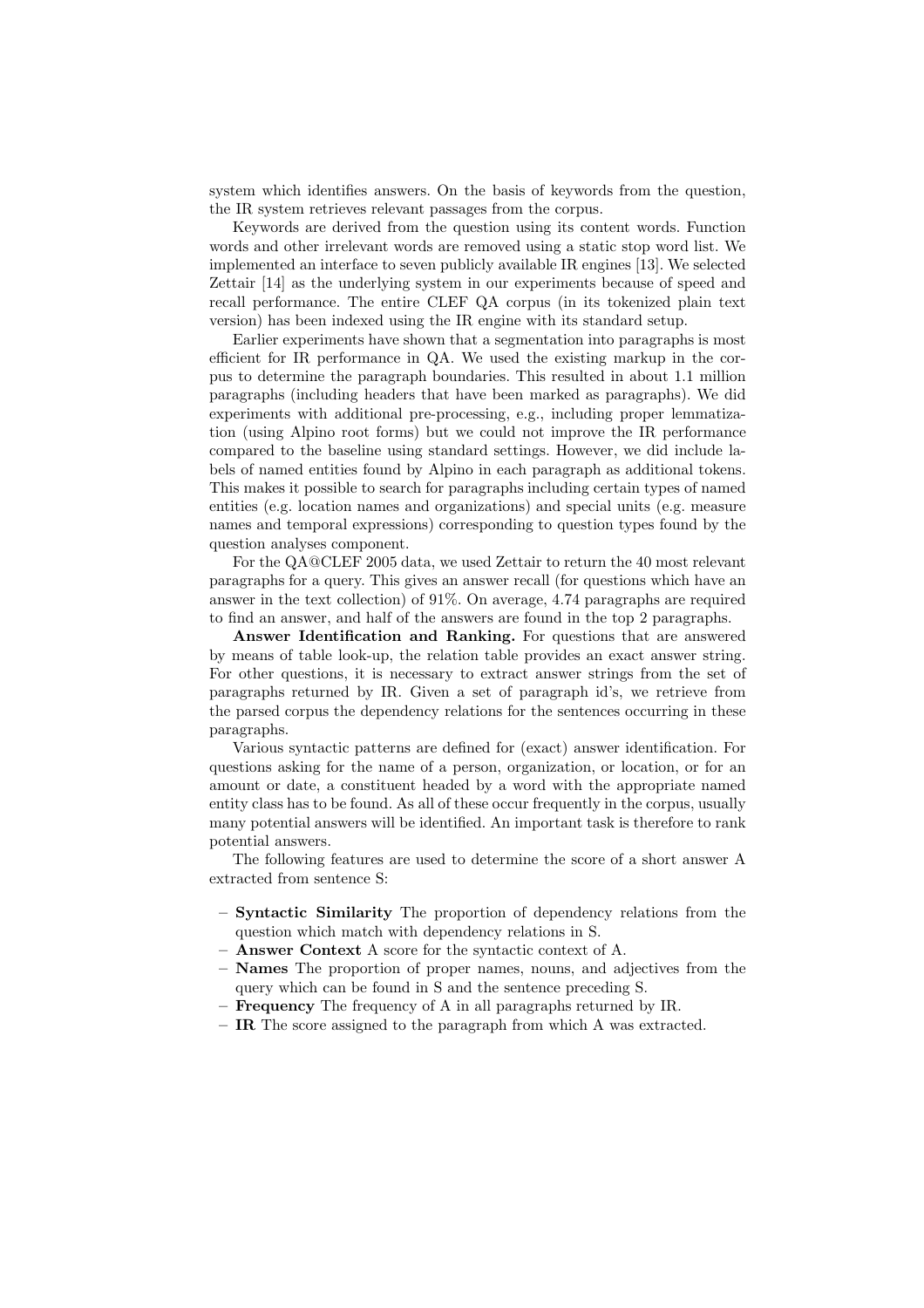system which identifies answers. On the basis of keywords from the question, the IR system retrieves relevant passages from the corpus.

Keywords are derived from the question using its content words. Function words and other irrelevant words are removed using a static stop word list. We implemented an interface to seven publicly available IR engines [13]. We selected Zettair [14] as the underlying system in our experiments because of speed and recall performance. The entire CLEF QA corpus (in its tokenized plain text version) has been indexed using the IR engine with its standard setup.

Earlier experiments have shown that a segmentation into paragraphs is most efficient for IR performance in QA. We used the existing markup in the corpus to determine the paragraph boundaries. This resulted in about 1.1 million paragraphs (including headers that have been marked as paragraphs). We did experiments with additional pre-processing, e.g., including proper lemmatization (using Alpino root forms) but we could not improve the IR performance compared to the baseline using standard settings. However, we did include labels of named entities found by Alpino in each paragraph as additional tokens. This makes it possible to search for paragraphs including certain types of named entities (e.g. location names and organizations) and special units (e.g. measure names and temporal expressions) corresponding to question types found by the question analyses component.

For the QA@CLEF 2005 data, we used Zettair to return the 40 most relevant paragraphs for a query. This gives an answer recall (for questions which have an answer in the text collection) of 91%. On average, 4.74 paragraphs are required to find an answer, and half of the answers are found in the top 2 paragraphs.

Answer Identification and Ranking. For questions that are answered by means of table look-up, the relation table provides an exact answer string. For other questions, it is necessary to extract answer strings from the set of paragraphs returned by IR. Given a set of paragraph id's, we retrieve from the parsed corpus the dependency relations for the sentences occurring in these paragraphs.

Various syntactic patterns are defined for (exact) answer identification. For questions asking for the name of a person, organization, or location, or for an amount or date, a constituent headed by a word with the appropriate named entity class has to be found. As all of these occur frequently in the corpus, usually many potential answers will be identified. An important task is therefore to rank potential answers.

The following features are used to determine the score of a short answer A extracted from sentence S:

- Syntactic Similarity The proportion of dependency relations from the question which match with dependency relations in S.
- Answer Context A score for the syntactic context of A.
- Names The proportion of proper names, nouns, and adjectives from the query which can be found in S and the sentence preceding S.
- Frequency The frequency of A in all paragraphs returned by IR.
- IR The score assigned to the paragraph from which A was extracted.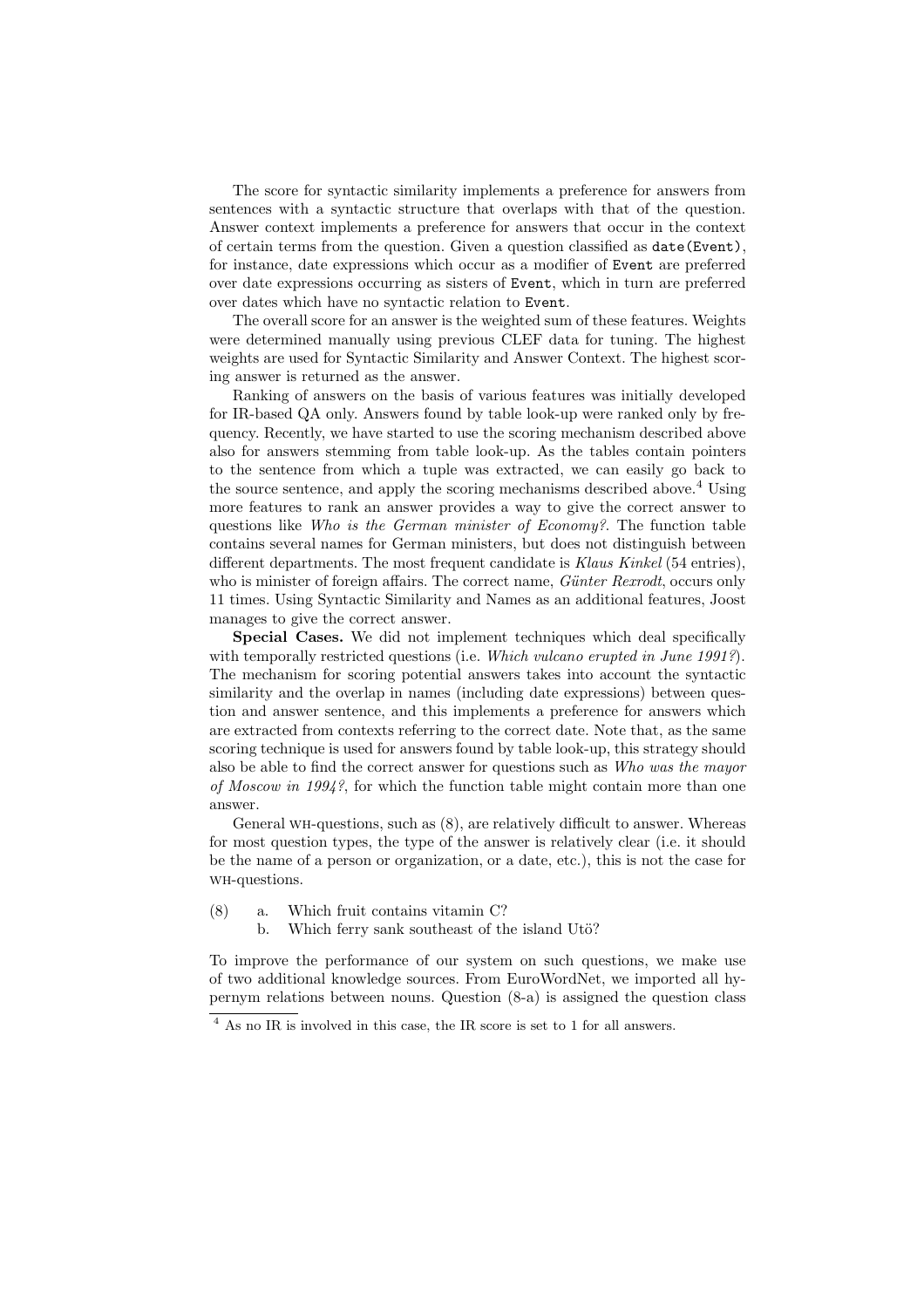The score for syntactic similarity implements a preference for answers from sentences with a syntactic structure that overlaps with that of the question. Answer context implements a preference for answers that occur in the context of certain terms from the question. Given a question classified as date(Event), for instance, date expressions which occur as a modifier of Event are preferred over date expressions occurring as sisters of Event, which in turn are preferred over dates which have no syntactic relation to Event.

The overall score for an answer is the weighted sum of these features. Weights were determined manually using previous CLEF data for tuning. The highest weights are used for Syntactic Similarity and Answer Context. The highest scoring answer is returned as the answer.

Ranking of answers on the basis of various features was initially developed for IR-based QA only. Answers found by table look-up were ranked only by frequency. Recently, we have started to use the scoring mechanism described above also for answers stemming from table look-up. As the tables contain pointers to the sentence from which a tuple was extracted, we can easily go back to the source sentence, and apply the scoring mechanisms described above.<sup>4</sup> Using more features to rank an answer provides a way to give the correct answer to questions like Who is the German minister of Economy?. The function table contains several names for German ministers, but does not distinguish between different departments. The most frequent candidate is Klaus Kinkel (54 entries), who is minister of foreign affairs. The correct name,  $G\ddot{u}$  nter Rexrodt, occurs only 11 times. Using Syntactic Similarity and Names as an additional features, Joost manages to give the correct answer.

Special Cases. We did not implement techniques which deal specifically with temporally restricted questions (i.e. Which vulcano erupted in June 1991?). The mechanism for scoring potential answers takes into account the syntactic similarity and the overlap in names (including date expressions) between question and answer sentence, and this implements a preference for answers which are extracted from contexts referring to the correct date. Note that, as the same scoring technique is used for answers found by table look-up, this strategy should also be able to find the correct answer for questions such as Who was the mayor of Moscow in 1994?, for which the function table might contain more than one answer.

General wh-questions, such as (8), are relatively difficult to answer. Whereas for most question types, the type of the answer is relatively clear (i.e. it should be the name of a person or organization, or a date, etc.), this is not the case for wh-questions.

- (8) a. Which fruit contains vitamin C?
	- b. Which ferry sank southeast of the island Utö?

To improve the performance of our system on such questions, we make use of two additional knowledge sources. From EuroWordNet, we imported all hypernym relations between nouns. Question (8-a) is assigned the question class

<sup>4</sup> As no IR is involved in this case, the IR score is set to 1 for all answers.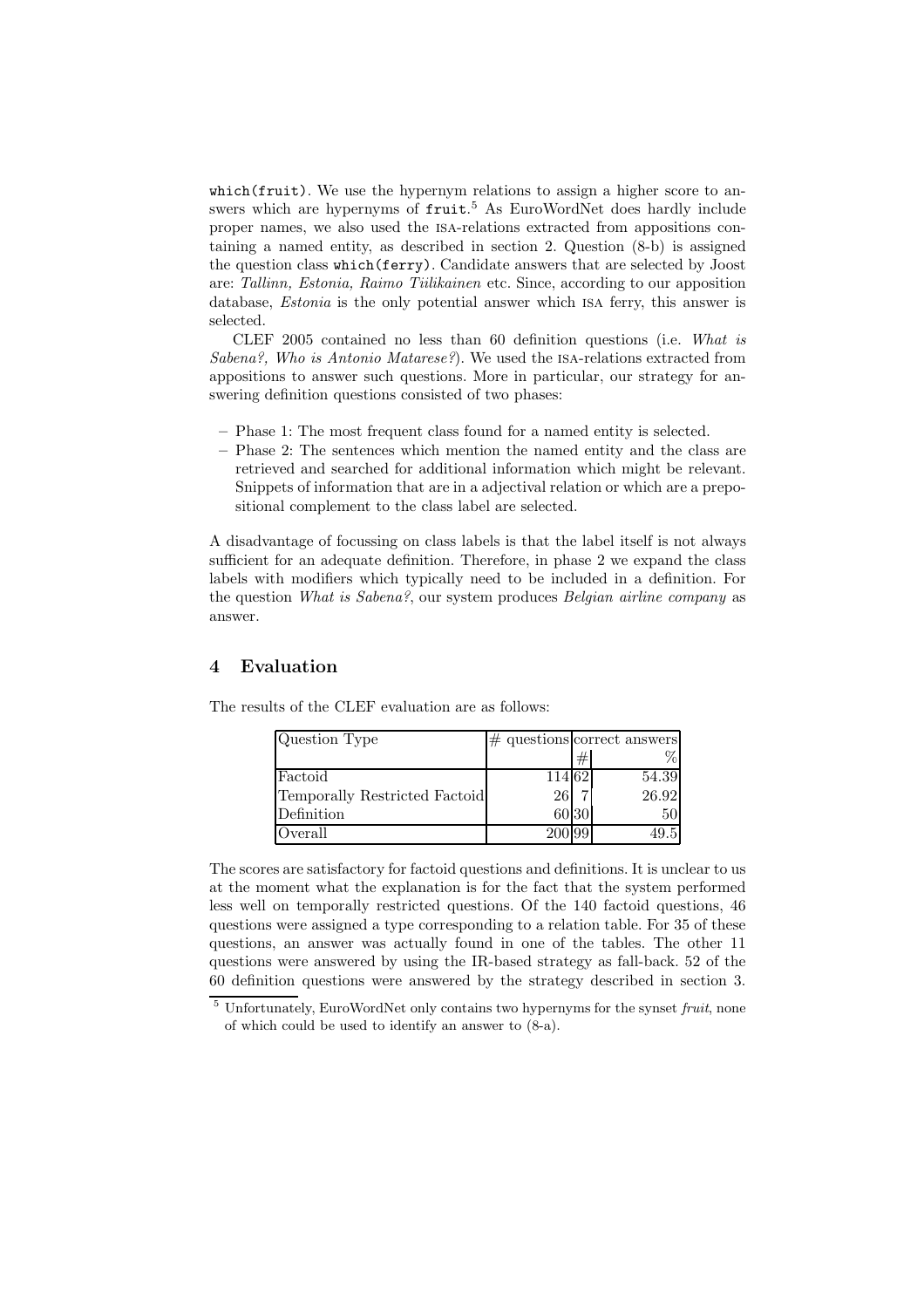which(fruit). We use the hypernym relations to assign a higher score to answers which are hypernyms of fruit.<sup>5</sup> As EuroWordNet does hardly include proper names, we also used the isa-relations extracted from appositions containing a named entity, as described in section 2. Question (8-b) is assigned the question class which(ferry). Candidate answers that are selected by Joost are: Tallinn, Estonia, Raimo Tiilikainen etc. Since, according to our apposition database, *Estonia* is the only potential answer which ISA ferry, this answer is selected.

CLEF 2005 contained no less than 60 definition questions (i.e. What is Sabena?, Who is Antonio Matarese?). We used the ISA-relations extracted from appositions to answer such questions. More in particular, our strategy for answering definition questions consisted of two phases:

- Phase 1: The most frequent class found for a named entity is selected.
- Phase 2: The sentences which mention the named entity and the class are retrieved and searched for additional information which might be relevant. Snippets of information that are in a adjectival relation or which are a prepositional complement to the class label are selected.

A disadvantage of focussing on class labels is that the label itself is not always sufficient for an adequate definition. Therefore, in phase 2 we expand the class labels with modifiers which typically need to be included in a definition. For the question What is Sabena?, our system produces Belgian airline company as answer.

# 4 Evaluation

| Question Type                 | $\#$  |         | questions correct answers |
|-------------------------------|-------|---------|---------------------------|
|                               |       | $_{\#}$ |                           |
| Factoid                       |       |         | 54.39                     |
| Temporally Restricted Factoid | 26    |         | 26.92                     |
| Definition                    | 60 30 |         | 50                        |
| Overall                       |       |         |                           |

The results of the CLEF evaluation are as follows:

The scores are satisfactory for factoid questions and definitions. It is unclear to us at the moment what the explanation is for the fact that the system performed less well on temporally restricted questions. Of the 140 factoid questions, 46 questions were assigned a type corresponding to a relation table. For 35 of these questions, an answer was actually found in one of the tables. The other 11 questions were answered by using the IR-based strategy as fall-back. 52 of the 60 definition questions were answered by the strategy described in section 3.

 $5$  Unfortunately, EuroWordNet only contains two hypernyms for the synset fruit, none of which could be used to identify an answer to (8-a).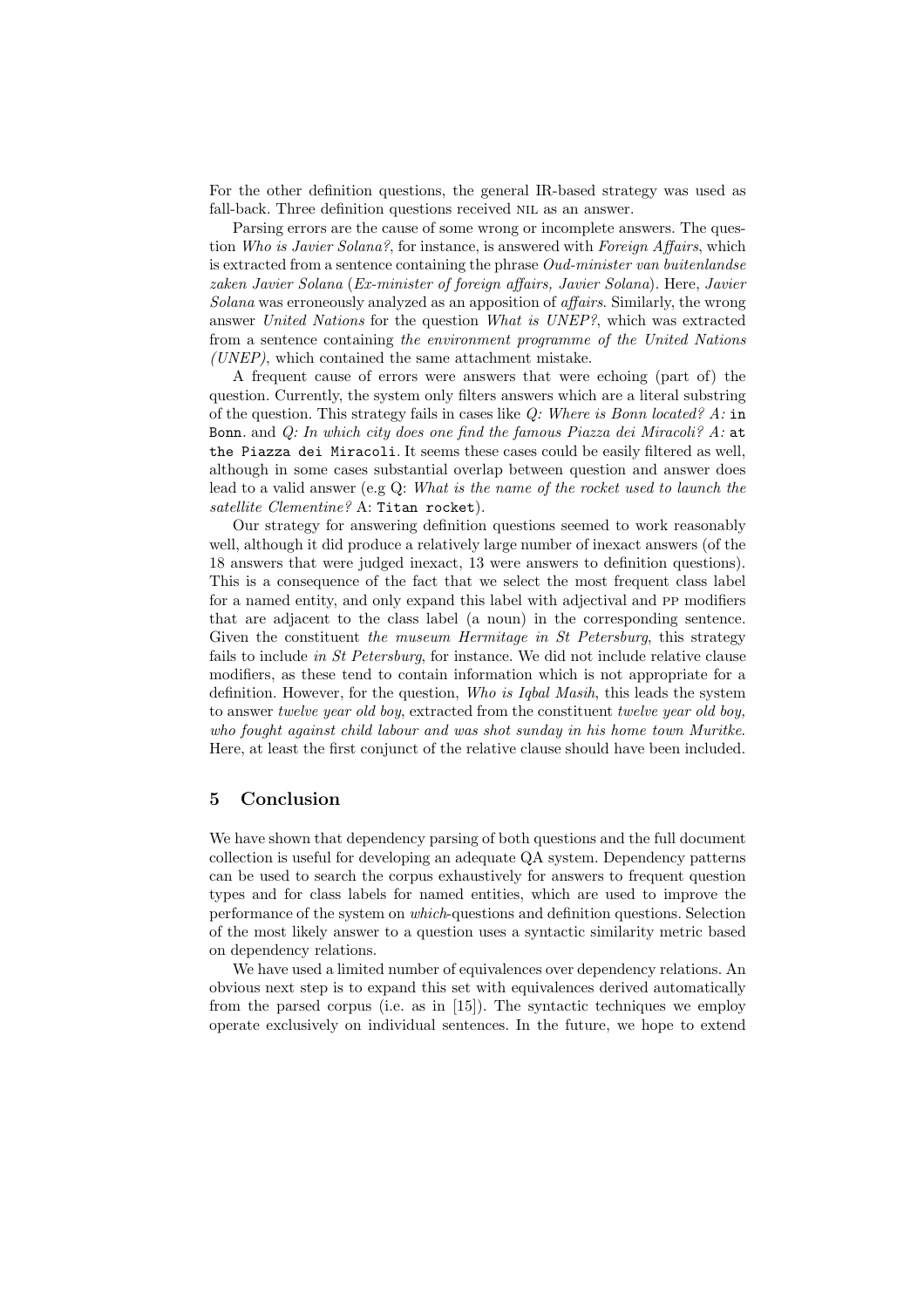For the other definition questions, the general IR-based strategy was used as fall-back. Three definition questions received nil as an answer.

Parsing errors are the cause of some wrong or incomplete answers. The question Who is Javier Solana?, for instance, is answered with Foreign Affairs, which is extracted from a sentence containing the phrase  $Oud$ -minister van buitenlandse zaken Javier Solana (Ex-minister of foreign affairs, Javier Solana). Here, Javier Solana was erroneously analyzed as an apposition of affairs. Similarly, the wrong answer United Nations for the question What is UNEP?, which was extracted from a sentence containing the environment programme of the United Nations (UNEP), which contained the same attachment mistake.

A frequent cause of errors were answers that were echoing (part of) the question. Currently, the system only filters answers which are a literal substring of the question. This strategy fails in cases like  $Q$ : Where is Bonn located? A: in Bonn. and Q: In which city does one find the famous Piazza dei Miracoli? A: at the Piazza dei Miracoli. It seems these cases could be easily filtered as well, although in some cases substantial overlap between question and answer does lead to a valid answer (e.g. Q: What is the name of the rocket used to launch the satellite Clementine? A: Titan rocket).

Our strategy for answering definition questions seemed to work reasonably well, although it did produce a relatively large number of inexact answers (of the 18 answers that were judged inexact, 13 were answers to definition questions). This is a consequence of the fact that we select the most frequent class label for a named entity, and only expand this label with adjectival and pp modifiers that are adjacent to the class label (a noun) in the corresponding sentence. Given the constituent the museum Hermitage in St Petersburg, this strategy fails to include in St Petersburg, for instance. We did not include relative clause modifiers, as these tend to contain information which is not appropriate for a definition. However, for the question, Who is Igbal Masih, this leads the system to answer twelve year old boy, extracted from the constituent twelve year old boy, who fought against child labour and was shot sunday in his home town Muritke. Here, at least the first conjunct of the relative clause should have been included.

#### 5 Conclusion

We have shown that dependency parsing of both questions and the full document collection is useful for developing an adequate QA system. Dependency patterns can be used to search the corpus exhaustively for answers to frequent question types and for class labels for named entities, which are used to improve the performance of the system on which-questions and definition questions. Selection of the most likely answer to a question uses a syntactic similarity metric based on dependency relations.

We have used a limited number of equivalences over dependency relations. An obvious next step is to expand this set with equivalences derived automatically from the parsed corpus (i.e. as in [15]). The syntactic techniques we employ operate exclusively on individual sentences. In the future, we hope to extend